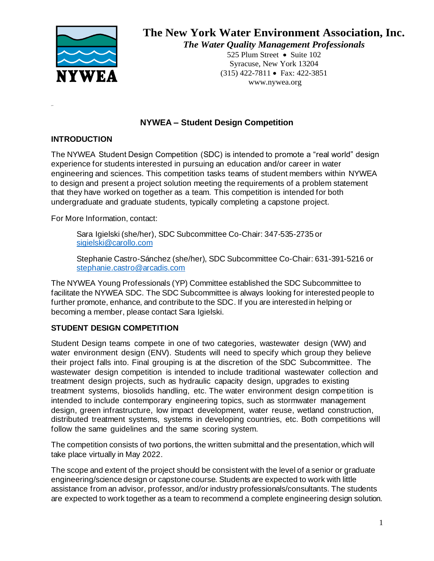

525 Plum Street • Suite 102 Syracuse, New York 13204 (315) 422-7811 • Fax: 422-3851 www.nywea.org

## **NYWEA – Student Design Competition**

#### **INTRODUCTION**

The NYWEA Student Design Competition (SDC) is intended to promote a "real world" design experience for students interested in pursuing an education and/or career in water engineering and sciences. This competition tasks teams of student members within NYWEA to design and present a project solution meeting the requirements of a problem statement that they have worked on together as a team. This competition is intended for both undergraduate and graduate students, typically completing a capstone project.

For More Information, contact:

Sara Igielski (she/her), SDC Subcommittee Co-Chair: 347-535-2735 or [sigielski@carollo.com](mailto:sigielski@carollo.com)

Stephanie Castro-Sánchez (she/her), SDC Subcommittee Co-Chair: 631-391-5216 or [stephanie.castro@arcadis.com](mailto:stephanie.castro@arcadis.com)

The NYWEA Young Professionals (YP) Committee established the SDC Subcommittee to facilitate the NYWEA SDC. The SDC Subcommittee is always looking for interested people to further promote, enhance, and contribute to the SDC. If you are interested in helping or becoming a member, please contact Sara Igielski.

## **STUDENT DESIGN COMPETITION**

Student Design teams compete in one of two categories, wastewater design (WW) and water environment design (ENV). Students will need to specify which group they believe their project falls into. Final grouping is at the discretion of the SDC Subcommittee. The wastewater design competition is intended to include traditional wastewater collection and treatment design projects, such as hydraulic capacity design, upgrades to existing treatment systems, biosolids handling, etc. The water environment design competition is intended to include contemporary engineering topics, such as stormwater management design, green infrastructure, low impact development, water reuse, wetland construction, distributed treatment systems, systems in developing countries, etc. Both competitions will follow the same guidelines and the same scoring system.

The competition consists of two portions, the written submittal and the presentation, which will take place virtually in May 2022.

The scope and extent of the project should be consistent with the level of a senior or graduate engineering/science design or capstone course. Students are expected to work with little assistance from an advisor, professor, and/or industry professionals/consultants. The students are expected to work together as a team to recommend a complete engineering design solution.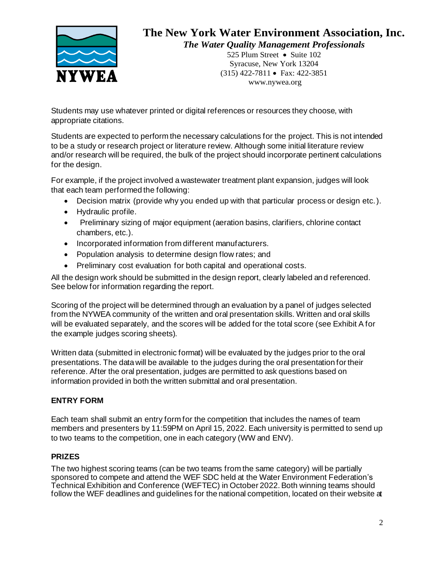

525 Plum Street • Suite 102 Syracuse, New York 13204 (315) 422-7811 • Fax: 422-3851 www.nywea.org

Students may use whatever printed or digital references or resources they choose, with appropriate citations.

Students are expected to perform the necessary calculations for the project. This is not intended to be a study or research project or literature review. Although some initial literature review and/or research will be required, the bulk of the project should incorporate pertinent calculations for the design.

For example, if the project involved a wastewater treatment plant expansion, judges will look that each team performed the following:

- Decision matrix (provide why you ended up with that particular process or design etc.).
- Hydraulic profile.
- Preliminary sizing of major equipment (aeration basins, clarifiers, chlorine contact chambers, etc.).
- Incorporated information from different manufacturers.
- Population analysis to determine design flow rates; and
- Preliminary cost evaluation for both capital and operational costs.

All the design work should be submitted in the design report, clearly labeled and referenced. See below for information regarding the report.

Scoring of the project will be determined through an evaluation by a panel of judges selected from the NYWEA community of the written and oral presentation skills. Written and oral skills will be evaluated separately, and the scores will be added for the total score (see Exhibit A for the example judges scoring sheets).

Written data (submitted in electronic format) will be evaluated by the judges prior to the oral presentations. The data will be available to the judges during the oral presentation for their reference. After the oral presentation, judges are permitted to ask questions based on information provided in both the written submittal and oral presentation.

## **ENTRY FORM**

Each team shall submit an entry form for the competition that includes the names of team members and presenters by 11:59PM on April 15, 2022. Each university is permitted to send up to two teams to the competition, one in each category (WW and ENV).

## **PRIZES**

The two highest scoring teams (can be two teams from the same category) will be partially sponsored to compete and attend the WEF SDC held at the Water Environment Federation's Technical Exhibition and Conference (WEFTEC) in October 2022. Both winning teams should follow the WEF deadlines and guidelines for the national competition, located on their website at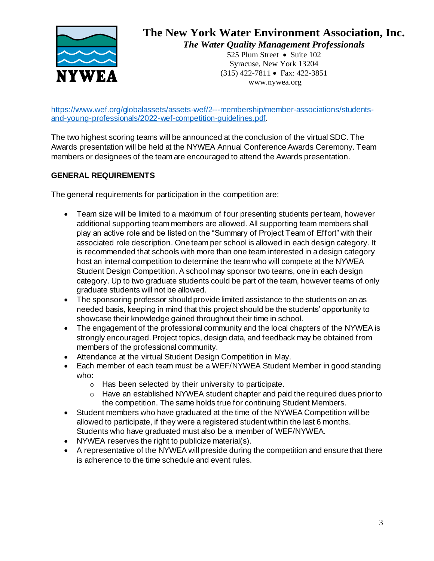

525 Plum Street • Suite 102 Syracuse, New York 13204 (315) 422-7811 • Fax: 422-3851 www.nywea.org

[https://www.wef.org/globalassets/assets-wef/2---membership/member-associations/students](https://www.wef.org/globalassets/assets-wef/2---membership/member-associations/students-and-young-professionals/2022-wef-competition-guidelines.pdf)[and-young-professionals/2022-wef-competition-guidelines.pdf](https://www.wef.org/globalassets/assets-wef/2---membership/member-associations/students-and-young-professionals/2022-wef-competition-guidelines.pdf).

The two highest scoring teams will be announced at the conclusion of the virtual SDC. The Awards presentation will be held at the NYWEA Annual Conference Awards Ceremony. Team members or designees of the team are encouraged to attend the Awards presentation.

## **GENERAL REQUIREMENTS**

The general requirements for participation in the competition are:

- Team size will be limited to a maximum of four presenting students per team, however additional supporting team members are allowed. All supporting team members shall play an active role and be listed on the "Summary of Project Team of Effort" with their associated role description. One team per school is allowed in each design category. It is recommended that schools with more than one team interested in a design category host an internal competition to determine the team who will compete at the NYWEA Student Design Competition. A school may sponsor two teams, one in each design category. Up to two graduate students could be part of the team, however teams of only graduate students will not be allowed.
- The sponsoring professor should provide limited assistance to the students on an as needed basis, keeping in mind that this project should be the students' opportunity to showcase their knowledge gained throughout their time in school.
- The engagement of the professional community and the local chapters of the NYWEA is strongly encouraged. Project topics, design data, and feedback may be obtained from members of the professional community.
- Attendance at the virtual Student Design Competition in May.
- Each member of each team must be a WEF/NYWEA Student Member in good standing who:
	- o Has been selected by their university to participate.
	- o Have an established NYWEA student chapter and paid the required dues prior to the competition. The same holds true for continuing Student Members.
- Student members who have graduated at the time of the NYWEA Competition will be allowed to participate, if they were a registered student within the last 6 months. Students who have graduated must also be a member of WEF/NYWEA.
- NYWEA reserves the right to publicize material(s).
- A representative of the NYWEA will preside during the competition and ensure that there is adherence to the time schedule and event rules.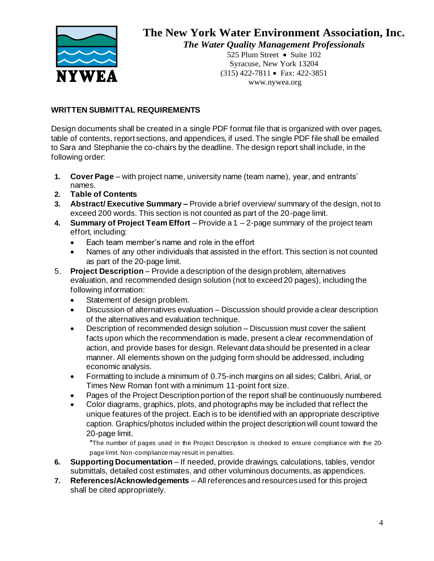

525 Plum Street • Suite 102 Syracuse, New York 13204 (315) 422-7811 • Fax: 422-3851 www.nywea.org

## **WRITTEN SUBMITTAL REQUIREMENTS**

Design documents shall be created in a single PDF format file that is organized with over pages, table of contents, report sections, and appendices, if used. The single PDF file shall be emailed to Sara and Stephanie the co-chairs by the deadline. The design report shall include, in the following order:

- **1. Cover Page**  with project name, university name (team name), year, and entrants' names.
- **2. Table of Contents**
- **3. Abstract/ Executive Summary –** Provide a brief overview/ summary of the design, not to exceed 200 words. This section is not counted as part of the 20-page limit.
- **4. Summary of Project Team Effort**  Provide a 1 2-page summary of the project team effort, including:
	- Each team member's name and role in the effort
	- Names of any other individuals that assisted in the effort. This section is not counted as part of the 20-page limit.
- 5. **Project Description**  Provide a description of the design problem, alternatives evaluation, and recommended design solution (not to exceed 20 pages), including the following information:
	- Statement of design problem.
	- Discussion of alternatives evaluation Discussion should provide a clear description of the alternatives and evaluation technique.
	- Description of recommended design solution Discussion must cover the salient facts upon which the recommendation is made, present a clear recommendation of action, and provide bases for design. Relevant data should be presented in a clear manner. All elements shown on the judging form should be addressed, including economic analysis.
	- Formatting to include a minimum of 0.75-inch margins on all sides; Calibri, Arial, or Times New Roman font with a minimum 11-point font size.
	- Pages of the Project Description portion of the report shall be continuously numbered.
	- Color diagrams, graphics, plots, and photographs may be included that reflect the unique features of the project. Each is to be identified with an appropriate descriptive caption. Graphics/photos included within the project description will count toward the 20-page limit.

\*The number of pages used in the Project Description is checked to ensure compliance with the 20 page limit. Non-compliance may result in penalties.

- **6. Supporting Documentation**  If needed, provide drawings, calculations, tables, vendor submittals, detailed cost estimates, and other voluminous documents, as appendices.
- **7. References/Acknowledgements**  All references and resources used for this project shall be cited appropriately.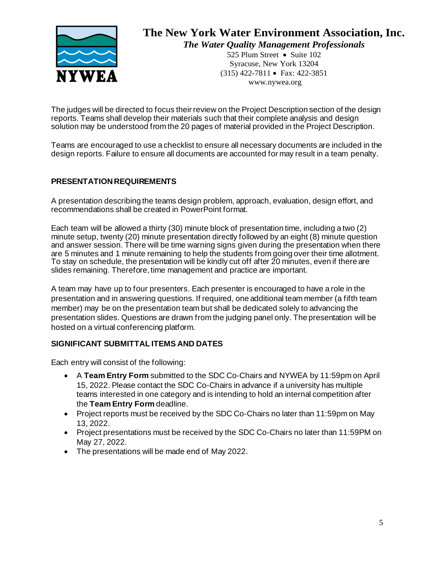

525 Plum Street • Suite 102 Syracuse, New York 13204 (315) 422-7811 • Fax: 422-3851 www.nywea.org

The judges will be directed to focus their review on the Project Description section of the design reports. Teams shall develop their materials such that their complete analysis and design solution may be understood from the 20 pages of material provided in the Project Description.

Teams are encouraged to use a checklist to ensure all necessary documents are included in the design reports. Failure to ensure all documents are accounted for may result in a team penalty.

## **PRESENTATION REQUIREMENTS**

A presentation describing the teams design problem, approach, evaluation, design effort, and recommendations shall be created in PowerPoint format.

Each team will be allowed a thirty (30) minute block of presentation time, including a two (2) minute setup, twenty (20) minute presentation directly followed by an eight (8) minute question and answer session. There will be time warning signs given during the presentation when there are 5 minutes and 1 minute remaining to help the students from going over their time allotment. To stay on schedule, the presentation will be kindly cut off after 20 minutes, even if there are slides remaining. Therefore, time management and practice are important.

A team may have up to four presenters. Each presenter is encouraged to have a role in the presentation and in answering questions. If required, one additional team member (a fifth team member) may be on the presentation team but shall be dedicated solely to advancing the presentation slides. Questions are drawn from the judging panel only. The presentation will be hosted on a virtual conferencing platform.

## **SIGNIFICANT SUBMITTAL ITEMS AND DATES**

Each entry will consist of the following:

- A **Team Entry Form** submitted to the SDC Co-Chairs and NYWEA by 11:59pm on April 15, 2022. Please contact the SDC Co-Chairs in advance if a university has multiple teams interested in one category and is intending to hold an internal competition after the **Team Entry Form** deadline.
- Project reports must be received by the SDC Co-Chairs no later than 11:59pm on May 13, 2022.
- Project presentations must be received by the SDC Co-Chairs no later than 11:59PM on May 27, 2022.
- The presentations will be made end of May 2022.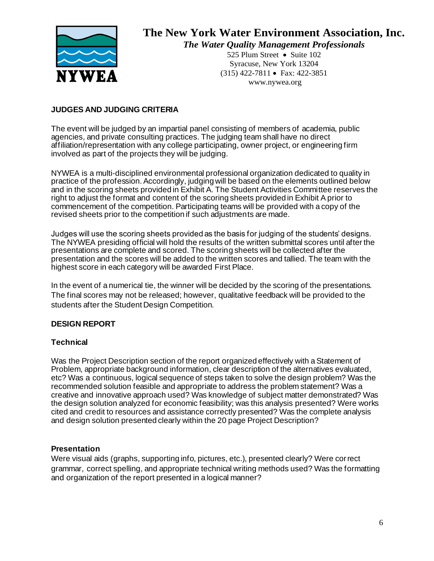

525 Plum Street • Suite 102 Syracuse, New York 13204 (315) 422-7811 • Fax: 422-3851 www.nywea.org

## **JUDGES AND JUDGING CRITERIA**

The event will be judged by an impartial panel consisting of members of academia, public agencies, and private consulting practices. The judging team shall have no direct affiliation/representation with any college participating, owner project, or engineering firm involved as part of the projects they will be judging.

NYWEA is a multi-disciplined environmental professional organization dedicated to quality in practice of the profession. Accordingly, judging will be based on the elements outlined below and in the scoring sheets provided in Exhibit A. The Student Activities Committee reserves the right to adjust the format and content of the scoring sheets provided in Exhibit A prior to commencement of the competition. Participating teams will be provided with a copy of the revised sheets prior to the competition if such adjustments are made.

Judges will use the scoring sheets provided as the basis for judging of the students' designs. The NYWEA presiding official will hold the results of the written submittal scores until after the presentations are complete and scored. The scoring sheets will be collected after the presentation and the scores will be added to the written scores and tallied. The team with the highest score in each category will be awarded First Place.

In the event of a numerical tie, the winner will be decided by the scoring of the presentations. The final scores may not be released; however, qualitative feedback will be provided to the students after the Student Design Competition.

## **DESIGN REPORT**

## **Technical**

Was the Project Description section of the report organized effectively with a Statement of Problem, appropriate background information, clear description of the alternatives evaluated, etc? Was a continuous, logical sequence of steps taken to solve the design problem? Was the recommended solution feasible and appropriate to address the problem statement? Was a creative and innovative approach used? Was knowledge of subject matter demonstrated? Was the design solution analyzed for economic feasibility; was this analysis presented? Were works cited and credit to resources and assistance correctly presented? Was the complete analysis and design solution presented clearly within the 20 page Project Description?

#### **Presentation**

Were visual aids (graphs, supporting info, pictures, etc.), presented clearly? Were correct grammar, correct spelling, and appropriate technical writing methods used? Was the formatting and organization of the report presented in a logical manner?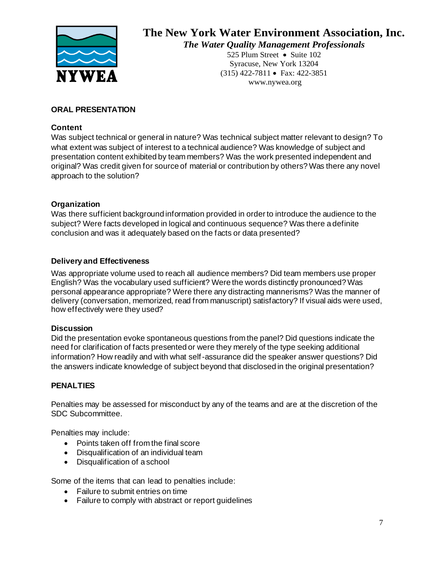

525 Plum Street • Suite 102 Syracuse, New York 13204 (315) 422-7811 • Fax: 422-3851 www.nywea.org

## **ORAL PRESENTATION**

## **Content**

Was subject technical or general in nature? Was technical subject matter relevant to design? To what extent was subject of interest to a technical audience? Was knowledge of subject and presentation content exhibited by team members? Was the work presented independent and original? Was credit given for source of material or contribution by others? Was there any novel approach to the solution?

## **Organization**

Was there sufficient background information provided in order to introduce the audience to the subject? Were facts developed in logical and continuous sequence? Was there a definite conclusion and was it adequately based on the facts or data presented?

## **Delivery and Effectiveness**

Was appropriate volume used to reach all audience members? Did team members use proper English? Was the vocabulary used sufficient? Were the words distinctly pronounced? Was personal appearance appropriate? Were there any distracting mannerisms? Was the manner of delivery (conversation, memorized, read from manuscript) satisfactory? If visual aids were used, how effectively were they used?

## **Discussion**

Did the presentation evoke spontaneous questions from the panel? Did questions indicate the need for clarification of facts presented or were they merely of the type seeking additional information? How readily and with what self-assurance did the speaker answer questions? Did the answers indicate knowledge of subject beyond that disclosed in the original presentation?

## **PENALTIES**

Penalties may be assessed for misconduct by any of the teams and are at the discretion of the SDC Subcommittee.

Penalties may include:

- Points taken off from the final score
- Disqualification of an individual team
- Disqualification of a school

Some of the items that can lead to penalties include:

- Failure to submit entries on time
- Failure to comply with abstract or report guidelines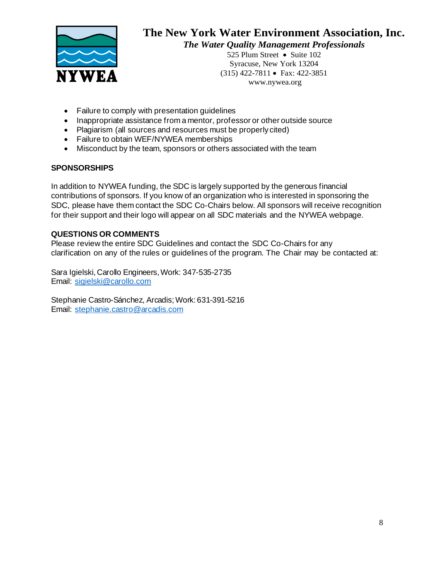

525 Plum Street • Suite 102 Syracuse, New York 13204 (315) 422-7811 • Fax: 422-3851 www.nywea.org

- Failure to comply with presentation guidelines
- Inappropriate assistance from a mentor, professor or other outside source
- Plagiarism (all sources and resources must be properly cited)
- Failure to obtain WEF/NYWEA memberships
- Misconduct by the team, sponsors or others associated with the team

#### **SPONSORSHIPS**

In addition to NYWEA funding, the SDC is largely supported by the generous financial contributions of sponsors. If you know of an organization who is interested in sponsoring the SDC, please have them contact the SDC Co-Chairs below. All sponsors will receive recognition for their support and their logo will appear on all SDC materials and the NYWEA webpage.

#### **QUESTIONS OR COMMENTS**

Please review the entire SDC Guidelines and contact the SDC Co-Chairs for any clarification on any of the rules or guidelines of the program. The Chair may be contacted at:

Sara Igielski, Carollo Engineers, Work: 347-535-2735 Email: [sigielski@carollo.com](mailto:sigielski@carollo.com)

Stephanie Castro-Sánchez, Arcadis; Work: 631-391-5216 Email: [stephanie.castro@arcadis.com](mailto:stephanie.castro@arcadis.com)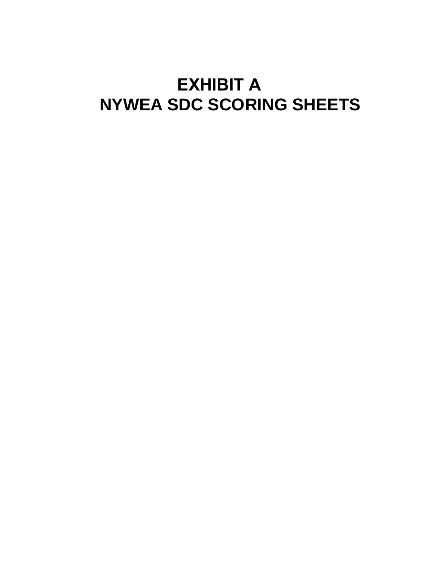# **EXHIBIT A NYWEA SDC SCORING SHEETS**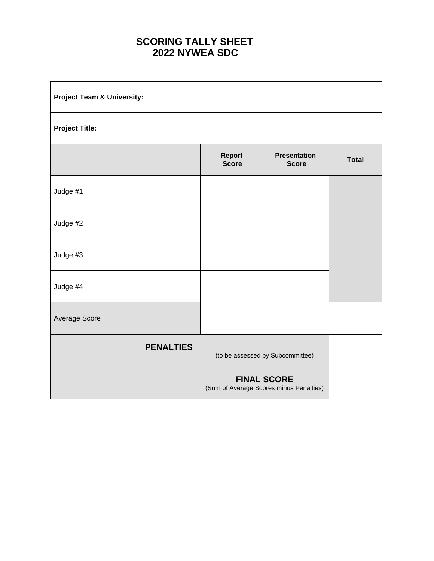# **SCORING TALLY SHEET 2022 NYWEA SDC**

| <b>Project Team &amp; University:</b> |                        |                                                               |              |
|---------------------------------------|------------------------|---------------------------------------------------------------|--------------|
| <b>Project Title:</b>                 |                        |                                                               |              |
|                                       | Report<br><b>Score</b> | <b>Presentation</b><br><b>Score</b>                           | <b>Total</b> |
| Judge #1                              |                        |                                                               |              |
| Judge #2                              |                        |                                                               |              |
| Judge #3                              |                        |                                                               |              |
| Judge #4                              |                        |                                                               |              |
| Average Score                         |                        |                                                               |              |
| <b>PENALTIES</b>                      |                        | (to be assessed by Subcommittee)                              |              |
|                                       |                        | <b>FINAL SCORE</b><br>(Sum of Average Scores minus Penalties) |              |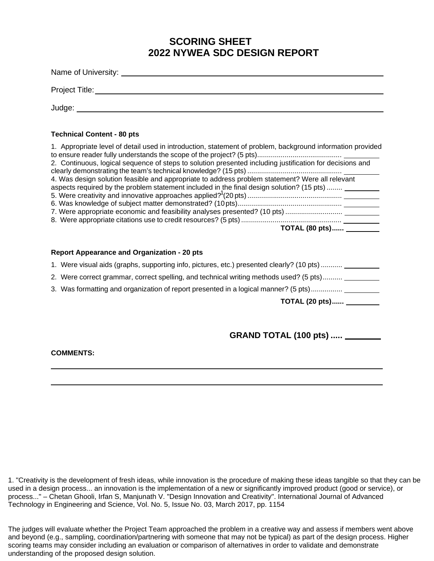# **SCORING SHEET 2022 NYWEA SDC DESIGN REPORT**

| Name of University: Name of University: |  |
|-----------------------------------------|--|
| Project Title:                          |  |
| Judge:                                  |  |

#### **Technical Content - 80 pts**

| 1. Appropriate level of detail used in introduction, statement of problem, background information provided |
|------------------------------------------------------------------------------------------------------------|
|                                                                                                            |
| 2. Continuous, logical sequence of steps to solution presented including justification for decisions and   |
|                                                                                                            |
| 4. Was design solution feasible and appropriate to address problem statement? Were all relevant            |
| aspects required by the problem statement included in the final design solution? (15 pts)                  |
|                                                                                                            |
|                                                                                                            |
|                                                                                                            |
|                                                                                                            |
| TOTAL (80 pts) _________                                                                                   |
|                                                                                                            |

#### **Report Appearance and Organization - 20 pts**

|  | 1. Were visual aids (graphs, supporting info, pictures, etc.) presented clearly? (10 pts) |  |  |  |  |  |  |  |  |
|--|-------------------------------------------------------------------------------------------|--|--|--|--|--|--|--|--|
|--|-------------------------------------------------------------------------------------------|--|--|--|--|--|--|--|--|

- 2. Were correct grammar, correct spelling, and technical writing methods used? (5 pts)..........
- 3. Was formatting and organization of report presented in a logical manner? (5 pts)................

**TOTAL (20 pts)......**

## **GRAND TOTAL (100 pts) .....**

**COMMENTS:**

1. "Creativity is the development of fresh ideas, while innovation is the procedure of making these ideas tangible so that they can be used in a design process... an innovation is the implementation of a new or significantly improved product (good or service), or process..." – Chetan Ghooli, Irfan S, Manjunath V. "Design Innovation and Creativity". International Journal of Advanced Technology in Engineering and Science, Vol. No. 5, Issue No. 03, March 2017, pp. 1154

The judges will evaluate whether the Project Team approached the problem in a creative way and assess if members went above and beyond (e.g., sampling, coordination/partnering with someone that may not be typical) as part of the design process. Higher scoring teams may consider including an evaluation or comparison of alternatives in order to validate and demonstrate understanding of the proposed design solution.